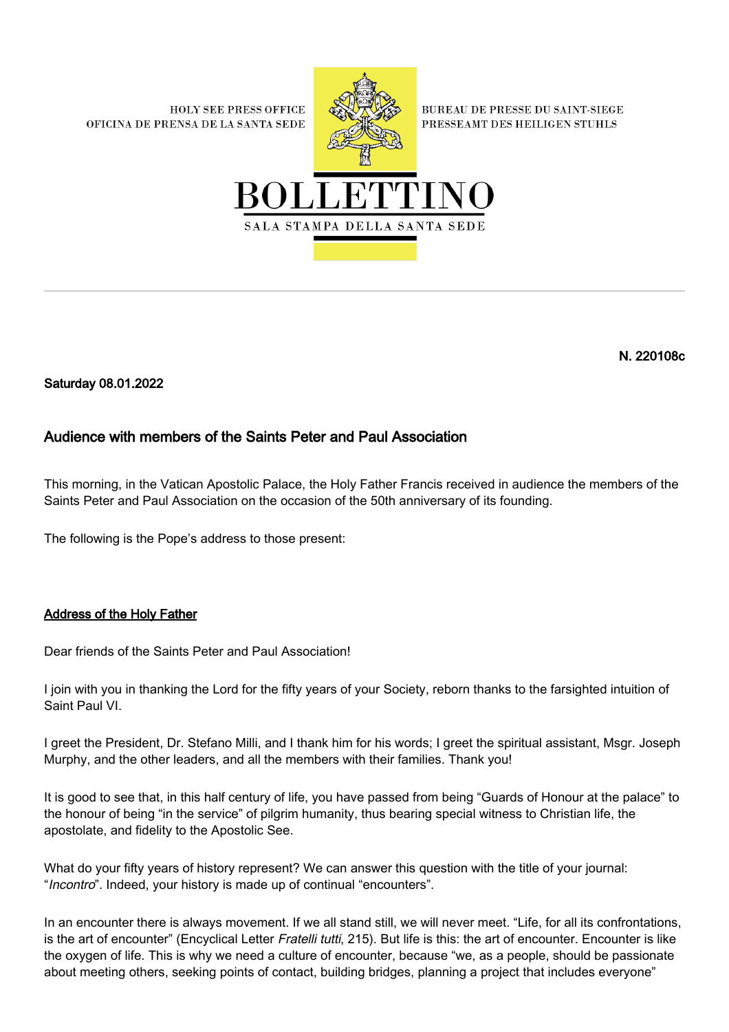**HOLY SEE PRESS OFFICE** OFICINA DE PRENSA DE LA SANTA SEDE



**BUREAU DE PRESSE DU SAINT-SIEGE** PRESSEAMT DES HEILIGEN STUHLS



N. 220108c

Saturday 08.01.2022

## Audience with members of the Saints Peter and Paul Association

This morning, in the Vatican Apostolic Palace, the Holy Father Francis received in audience the members of the Saints Peter and Paul Association on the occasion of the 50th anniversary of its founding.

The following is the Pope's address to those present:

## Address of the Holy Father

Dear friends of the Saints Peter and Paul Association!

I join with you in thanking the Lord for the fifty years of your Society, reborn thanks to the farsighted intuition of Saint Paul VI.

I greet the President, Dr. Stefano Milli, and I thank him for his words; I greet the spiritual assistant, Msgr. Joseph Murphy, and the other leaders, and all the members with their families. Thank you!

It is good to see that, in this half century of life, you have passed from being "Guards of Honour at the palace" to the honour of being "in the service" of pilgrim humanity, thus bearing special witness to Christian life, the apostolate, and fidelity to the Apostolic See.

What do your fifty years of history represent? We can answer this question with the title of your journal: "Incontro". Indeed, your history is made up of continual "encounters".

In an encounter there is always movement. If we all stand still, we will never meet. "Life, for all its confrontations, is the art of encounter" (Encyclical Letter Fratelli tutti, 215). But life is this: the art of encounter. Encounter is like the oxygen of life. This is why we need a culture of encounter, because "we, as a people, should be passionate about meeting others, seeking points of contact, building bridges, planning a project that includes everyone"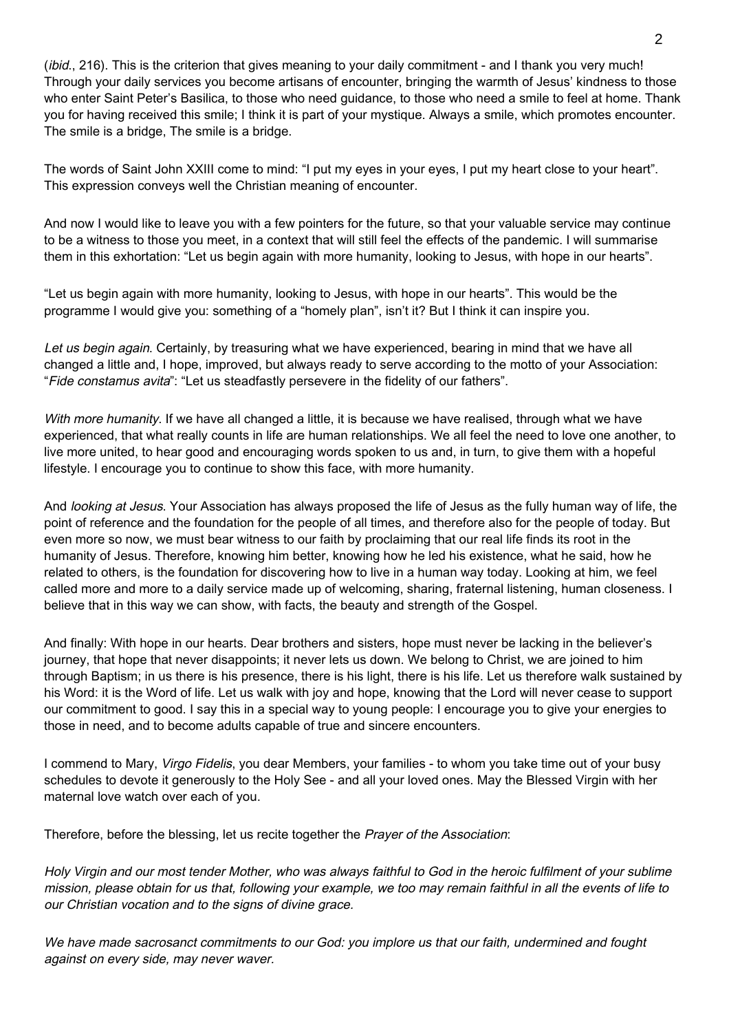(*ibid.*, 216). This is the criterion that gives meaning to your daily commitment - and I thank you very much! Through your daily services you become artisans of encounter, bringing the warmth of Jesus' kindness to those who enter Saint Peter's Basilica, to those who need guidance, to those who need a smile to feel at home. Thank you for having received this smile; I think it is part of your mystique. Always a smile, which promotes encounter. The smile is a bridge, The smile is a bridge.

The words of Saint John XXIII come to mind: "I put my eyes in your eyes, I put my heart close to your heart". This expression conveys well the Christian meaning of encounter.

And now I would like to leave you with a few pointers for the future, so that your valuable service may continue to be a witness to those you meet, in a context that will still feel the effects of the pandemic. I will summarise them in this exhortation: "Let us begin again with more humanity, looking to Jesus, with hope in our hearts".

"Let us begin again with more humanity, looking to Jesus, with hope in our hearts". This would be the programme I would give you: something of a "homely plan", isn't it? But I think it can inspire you.

Let us begin again. Certainly, by treasuring what we have experienced, bearing in mind that we have all changed a little and, I hope, improved, but always ready to serve according to the motto of your Association: "Fide constamus avita": "Let us steadfastly persevere in the fidelity of our fathers".

With more humanity. If we have all changed a little, it is because we have realised, through what we have experienced, that what really counts in life are human relationships. We all feel the need to love one another, to live more united, to hear good and encouraging words spoken to us and, in turn, to give them with a hopeful lifestyle. I encourage you to continue to show this face, with more humanity.

And looking at Jesus. Your Association has always proposed the life of Jesus as the fully human way of life, the point of reference and the foundation for the people of all times, and therefore also for the people of today. But even more so now, we must bear witness to our faith by proclaiming that our real life finds its root in the humanity of Jesus. Therefore, knowing him better, knowing how he led his existence, what he said, how he related to others, is the foundation for discovering how to live in a human way today. Looking at him, we feel called more and more to a daily service made up of welcoming, sharing, fraternal listening, human closeness. I believe that in this way we can show, with facts, the beauty and strength of the Gospel.

And finally: With hope in our hearts. Dear brothers and sisters, hope must never be lacking in the believer's journey, that hope that never disappoints; it never lets us down. We belong to Christ, we are joined to him through Baptism; in us there is his presence, there is his light, there is his life. Let us therefore walk sustained by his Word: it is the Word of life. Let us walk with joy and hope, knowing that the Lord will never cease to support our commitment to good. I say this in a special way to young people: I encourage you to give your energies to those in need, and to become adults capable of true and sincere encounters.

I commend to Mary, Virgo Fidelis, you dear Members, your families - to whom you take time out of your busy schedules to devote it generously to the Holy See - and all your loved ones. May the Blessed Virgin with her maternal love watch over each of you.

Therefore, before the blessing, let us recite together the *Prayer of the Association*:

Holy Virgin and our most tender Mother, who was always faithful to God in the heroic fulfilment of your sublime mission, please obtain for us that, following your example, we too may remain faithful in all the events of life to our Christian vocation and to the signs of divine grace.

We have made sacrosanct commitments to our God: you implore us that our faith, undermined and fought against on every side, may never waver.